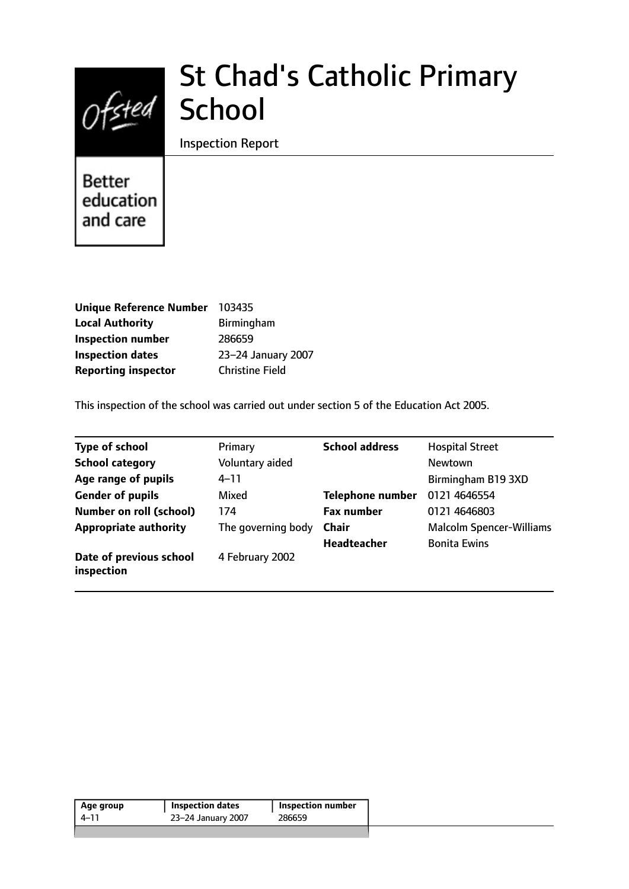

# St Chad's Catholic Primary

Inspection Report

**Better** education and care

| <b>Unique Reference Number</b> | 103435                 |
|--------------------------------|------------------------|
| <b>Local Authority</b>         | Birmingham             |
| <b>Inspection number</b>       | 286659                 |
| <b>Inspection dates</b>        | 23-24 January 2007     |
| <b>Reporting inspector</b>     | <b>Christine Field</b> |

This inspection of the school was carried out under section 5 of the Education Act 2005.

| <b>Type of school</b>                 | Primary            | <b>School address</b>   | <b>Hospital Street</b>          |
|---------------------------------------|--------------------|-------------------------|---------------------------------|
| <b>School category</b>                | Voluntary aided    |                         | Newtown                         |
| Age range of pupils                   | $4 - 11$           |                         | Birmingham B19 3XD              |
| <b>Gender of pupils</b>               | Mixed              | <b>Telephone number</b> | 0121 4646554                    |
| <b>Number on roll (school)</b>        | 174                | <b>Fax number</b>       | 0121 4646803                    |
| <b>Appropriate authority</b>          | The governing body | <b>Chair</b>            | <b>Malcolm Spencer-Williams</b> |
|                                       |                    | Headteacher             | <b>Bonita Ewins</b>             |
| Date of previous school<br>inspection | 4 February 2002    |                         |                                 |

| 286659<br>23-24 January 2007<br>4–11 | Age group | <b>Inspection dates</b> | <b>Inspection number</b> |
|--------------------------------------|-----------|-------------------------|--------------------------|
|                                      |           |                         |                          |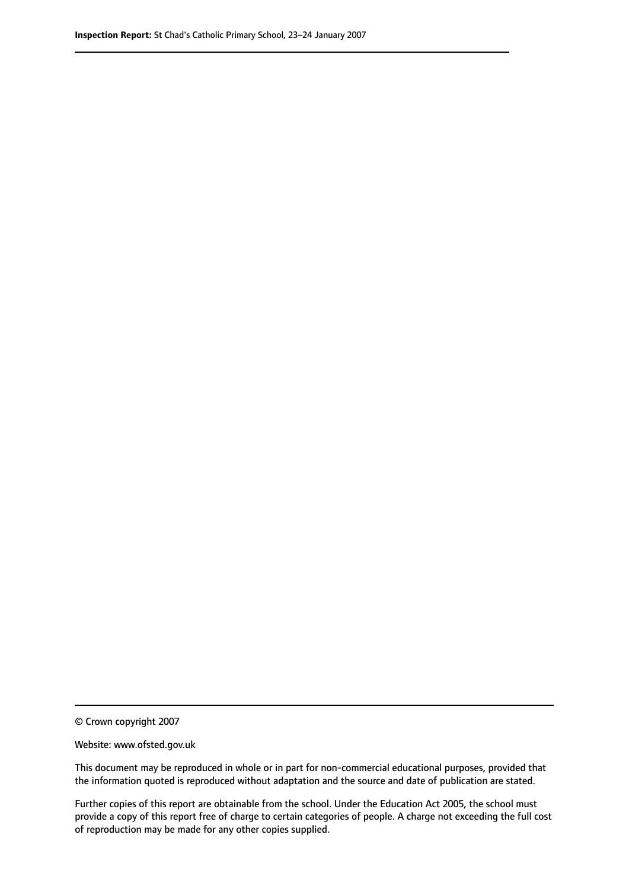© Crown copyright 2007

Website: www.ofsted.gov.uk

This document may be reproduced in whole or in part for non-commercial educational purposes, provided that the information quoted is reproduced without adaptation and the source and date of publication are stated.

Further copies of this report are obtainable from the school. Under the Education Act 2005, the school must provide a copy of this report free of charge to certain categories of people. A charge not exceeding the full cost of reproduction may be made for any other copies supplied.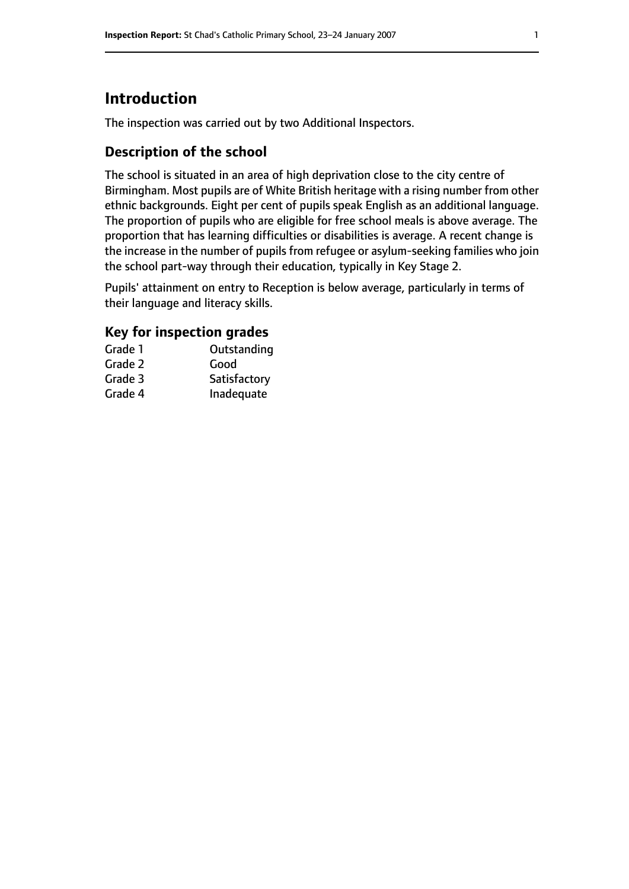# **Introduction**

The inspection was carried out by two Additional Inspectors.

# **Description of the school**

The school is situated in an area of high deprivation close to the city centre of Birmingham. Most pupils are of White British heritage with a rising number from other ethnic backgrounds. Eight per cent of pupils speak English as an additional language. The proportion of pupils who are eligible for free school meals is above average. The proportion that has learning difficulties or disabilities is average. A recent change is the increase in the number of pupils from refugee or asylum-seeking families who join the school part-way through their education, typically in Key Stage 2.

Pupils' attainment on entry to Reception is below average, particularly in terms of their language and literacy skills.

## **Key for inspection grades**

| Grade 1 | Outstanding  |
|---------|--------------|
| Grade 2 | Good         |
| Grade 3 | Satisfactory |
| Grade 4 | Inadequate   |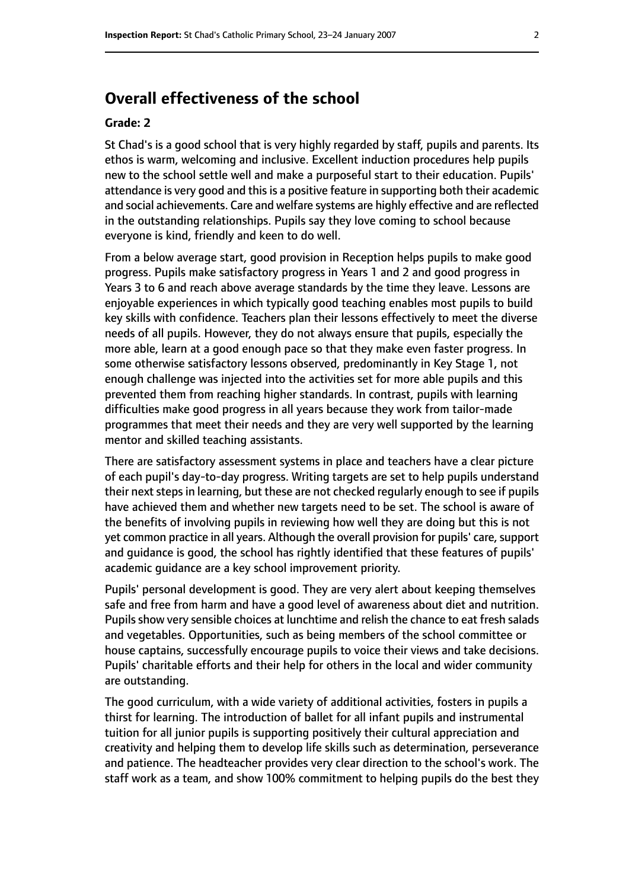# **Overall effectiveness of the school**

#### **Grade: 2**

St Chad's is a good school that is very highly regarded by staff, pupils and parents. Its ethos is warm, welcoming and inclusive. Excellent induction procedures help pupils new to the school settle well and make a purposeful start to their education. Pupils' attendance is very good and this is a positive feature in supporting both their academic and social achievements. Care and welfare systems are highly effective and are reflected in the outstanding relationships. Pupils say they love coming to school because everyone is kind, friendly and keen to do well.

From a below average start, good provision in Reception helps pupils to make good progress. Pupils make satisfactory progress in Years 1 and 2 and good progress in Years 3 to 6 and reach above average standards by the time they leave. Lessons are enjoyable experiences in which typically good teaching enables most pupils to build key skills with confidence. Teachers plan their lessons effectively to meet the diverse needs of all pupils. However, they do not always ensure that pupils, especially the more able, learn at a good enough pace so that they make even faster progress. In some otherwise satisfactory lessons observed, predominantly in Key Stage 1, not enough challenge was injected into the activities set for more able pupils and this prevented them from reaching higher standards. In contrast, pupils with learning difficulties make good progress in all years because they work from tailor-made programmes that meet their needs and they are very well supported by the learning mentor and skilled teaching assistants.

There are satisfactory assessment systems in place and teachers have a clear picture of each pupil's day-to-day progress. Writing targets are set to help pupils understand their next steps in learning, but these are not checked regularly enough to see if pupils have achieved them and whether new targets need to be set. The school is aware of the benefits of involving pupils in reviewing how well they are doing but this is not yet common practice in all years. Although the overall provision for pupils' care, support and guidance is good, the school has rightly identified that these features of pupils' academic guidance are a key school improvement priority.

Pupils' personal development is good. They are very alert about keeping themselves safe and free from harm and have a good level of awareness about diet and nutrition. Pupils show very sensible choices at lunchtime and relish the chance to eat fresh salads and vegetables. Opportunities, such as being members of the school committee or house captains, successfully encourage pupils to voice their views and take decisions. Pupils' charitable efforts and their help for others in the local and wider community are outstanding.

The good curriculum, with a wide variety of additional activities, fosters in pupils a thirst for learning. The introduction of ballet for all infant pupils and instrumental tuition for all junior pupils is supporting positively their cultural appreciation and creativity and helping them to develop life skills such as determination, perseverance and patience. The headteacher provides very clear direction to the school's work. The staff work as a team, and show 100% commitment to helping pupils do the best they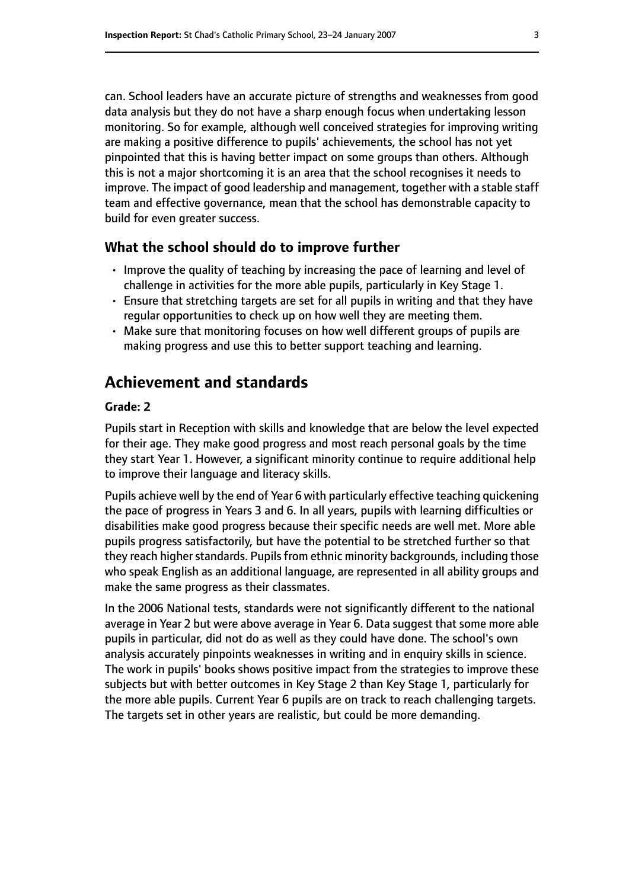can. School leaders have an accurate picture of strengths and weaknesses from good data analysis but they do not have a sharp enough focus when undertaking lesson monitoring. So for example, although well conceived strategies for improving writing are making a positive difference to pupils' achievements, the school has not yet pinpointed that this is having better impact on some groups than others. Although this is not a major shortcoming it is an area that the school recognises it needs to improve. The impact of good leadership and management, together with a stable staff team and effective governance, mean that the school has demonstrable capacity to build for even greater success.

## **What the school should do to improve further**

- Improve the quality of teaching by increasing the pace of learning and level of challenge in activities for the more able pupils, particularly in Key Stage 1.
- Ensure that stretching targets are set for all pupils in writing and that they have regular opportunities to check up on how well they are meeting them.
- Make sure that monitoring focuses on how well different groups of pupils are making progress and use this to better support teaching and learning.

# **Achievement and standards**

#### **Grade: 2**

Pupils start in Reception with skills and knowledge that are below the level expected for their age. They make good progress and most reach personal goals by the time they start Year 1. However, a significant minority continue to require additional help to improve their language and literacy skills.

Pupils achieve well by the end of Year 6 with particularly effective teaching quickening the pace of progress in Years 3 and 6. In all years, pupils with learning difficulties or disabilities make good progress because their specific needs are well met. More able pupils progress satisfactorily, but have the potential to be stretched further so that they reach higher standards. Pupils from ethnic minority backgrounds, including those who speak English as an additional language, are represented in all ability groups and make the same progress as their classmates.

In the 2006 National tests, standards were not significantly different to the national average in Year 2 but were above average in Year 6. Data suggest that some more able pupils in particular, did not do as well as they could have done. The school's own analysis accurately pinpoints weaknesses in writing and in enquiry skills in science. The work in pupils' books shows positive impact from the strategies to improve these subjects but with better outcomes in Key Stage 2 than Key Stage 1, particularly for the more able pupils. Current Year 6 pupils are on track to reach challenging targets. The targets set in other years are realistic, but could be more demanding.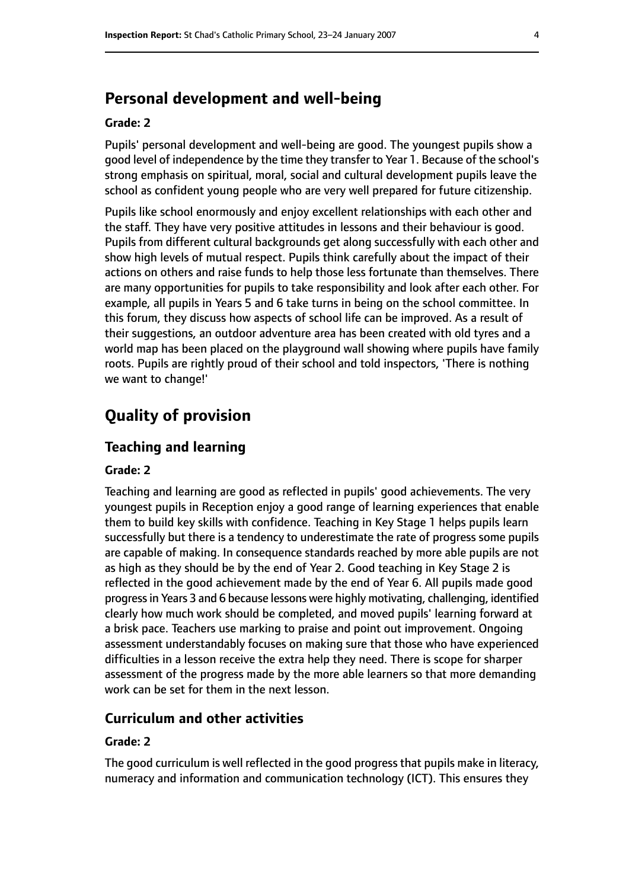# **Personal development and well-being**

#### **Grade: 2**

Pupils' personal development and well-being are good. The youngest pupils show a good level of independence by the time they transfer to Year 1. Because of the school's strong emphasis on spiritual, moral, social and cultural development pupils leave the school as confident young people who are very well prepared for future citizenship.

Pupils like school enormously and enjoy excellent relationships with each other and the staff. They have very positive attitudes in lessons and their behaviour is good. Pupils from different cultural backgrounds get along successfully with each other and show high levels of mutual respect. Pupils think carefully about the impact of their actions on others and raise funds to help those less fortunate than themselves. There are many opportunities for pupils to take responsibility and look after each other. For example, all pupils in Years 5 and 6 take turns in being on the school committee. In this forum, they discuss how aspects of school life can be improved. As a result of their suggestions, an outdoor adventure area has been created with old tyres and a world map has been placed on the playground wall showing where pupils have family roots. Pupils are rightly proud of their school and told inspectors, 'There is nothing we want to change!'

# **Quality of provision**

### **Teaching and learning**

### **Grade: 2**

Teaching and learning are good as reflected in pupils' good achievements. The very youngest pupils in Reception enjoy a good range of learning experiences that enable them to build key skills with confidence. Teaching in Key Stage 1 helps pupils learn successfully but there is a tendency to underestimate the rate of progress some pupils are capable of making. In consequence standards reached by more able pupils are not as high as they should be by the end of Year 2. Good teaching in Key Stage 2 is reflected in the good achievement made by the end of Year 6. All pupils made good progressin Years 3 and 6 because lessons were highly motivating, challenging, identified clearly how much work should be completed, and moved pupils' learning forward at a brisk pace. Teachers use marking to praise and point out improvement. Ongoing assessment understandably focuses on making sure that those who have experienced difficulties in a lesson receive the extra help they need. There is scope for sharper assessment of the progress made by the more able learners so that more demanding work can be set for them in the next lesson.

## **Curriculum and other activities**

#### **Grade: 2**

The good curriculum is well reflected in the good progress that pupils make in literacy, numeracy and information and communication technology (ICT). This ensures they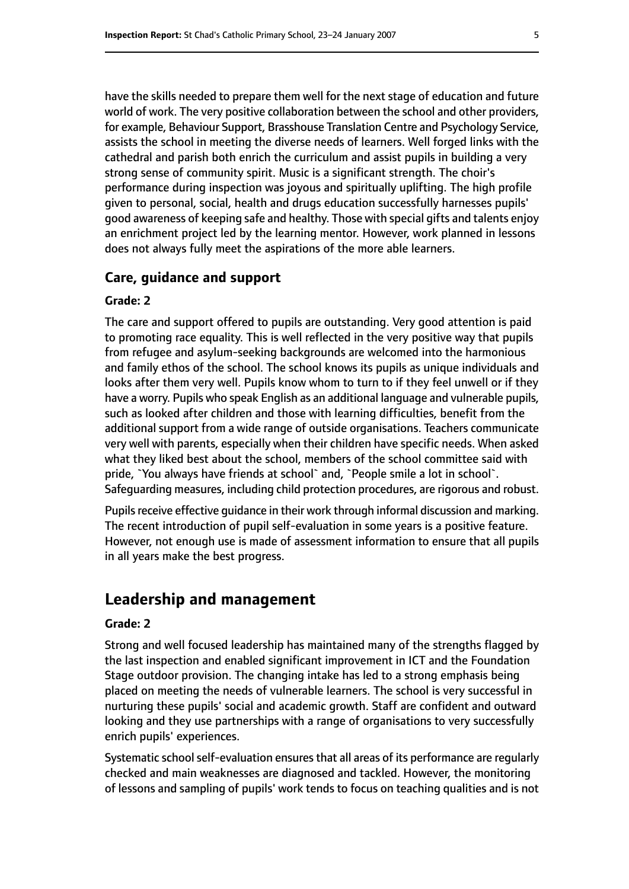have the skills needed to prepare them well for the next stage of education and future world of work. The very positive collaboration between the school and other providers, for example, Behaviour Support, Brasshouse Translation Centre and Psychology Service, assists the school in meeting the diverse needs of learners. Well forged links with the cathedral and parish both enrich the curriculum and assist pupils in building a very strong sense of community spirit. Music is a significant strength. The choir's performance during inspection was joyous and spiritually uplifting. The high profile given to personal, social, health and drugs education successfully harnesses pupils' good awareness of keeping safe and healthy. Those with special gifts and talents enjoy an enrichment project led by the learning mentor. However, work planned in lessons does not always fully meet the aspirations of the more able learners.

#### **Care, guidance and support**

#### **Grade: 2**

The care and support offered to pupils are outstanding. Very good attention is paid to promoting race equality. This is well reflected in the very positive way that pupils from refugee and asylum-seeking backgrounds are welcomed into the harmonious and family ethos of the school. The school knows its pupils as unique individuals and looks after them very well. Pupils know whom to turn to if they feel unwell or if they have a worry. Pupils who speak English as an additional language and vulnerable pupils, such as looked after children and those with learning difficulties, benefit from the additional support from a wide range of outside organisations. Teachers communicate very well with parents, especially when their children have specific needs. When asked what they liked best about the school, members of the school committee said with pride, `You always have friends at school` and, `People smile a lot in school`. Safeguarding measures, including child protection procedures, are rigorous and robust.

Pupils receive effective guidance in their work through informal discussion and marking. The recent introduction of pupil self-evaluation in some years is a positive feature. However, not enough use is made of assessment information to ensure that all pupils in all years make the best progress.

## **Leadership and management**

#### **Grade: 2**

Strong and well focused leadership has maintained many of the strengths flagged by the last inspection and enabled significant improvement in ICT and the Foundation Stage outdoor provision. The changing intake has led to a strong emphasis being placed on meeting the needs of vulnerable learners. The school is very successful in nurturing these pupils' social and academic growth. Staff are confident and outward looking and they use partnerships with a range of organisations to very successfully enrich pupils' experiences.

Systematic school self-evaluation ensures that all areas of its performance are regularly checked and main weaknesses are diagnosed and tackled. However, the monitoring of lessons and sampling of pupils' work tends to focus on teaching qualities and is not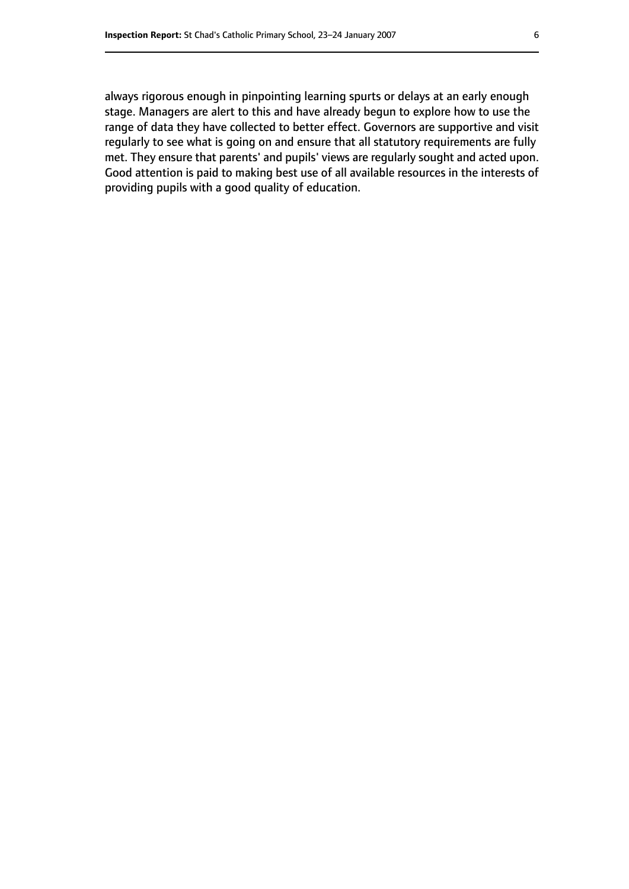always rigorous enough in pinpointing learning spurts or delays at an early enough stage. Managers are alert to this and have already begun to explore how to use the range of data they have collected to better effect. Governors are supportive and visit regularly to see what is going on and ensure that all statutory requirements are fully met. They ensure that parents' and pupils' views are regularly sought and acted upon. Good attention is paid to making best use of all available resources in the interests of providing pupils with a good quality of education.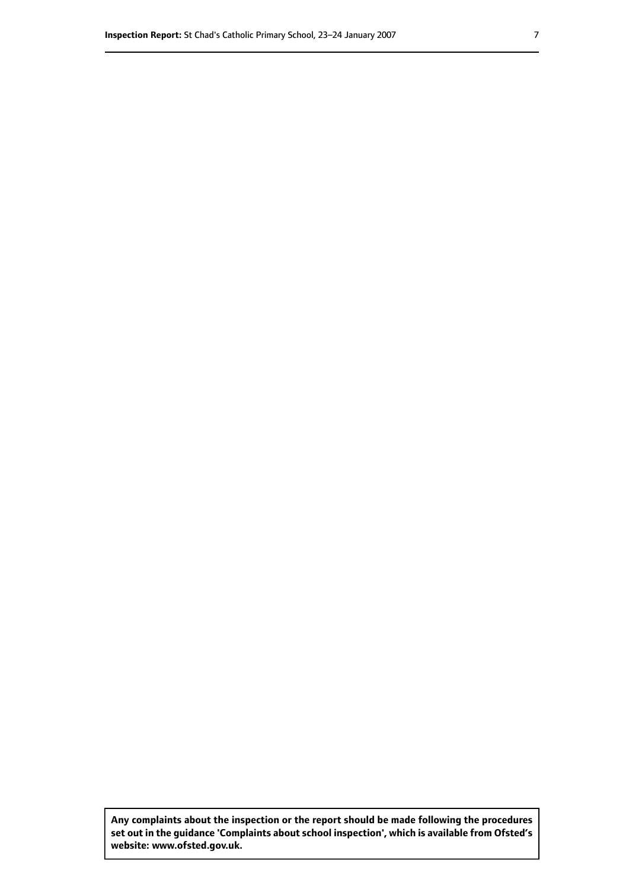**Any complaints about the inspection or the report should be made following the procedures set out inthe guidance 'Complaints about school inspection', whichis available from Ofsted's website: www.ofsted.gov.uk.**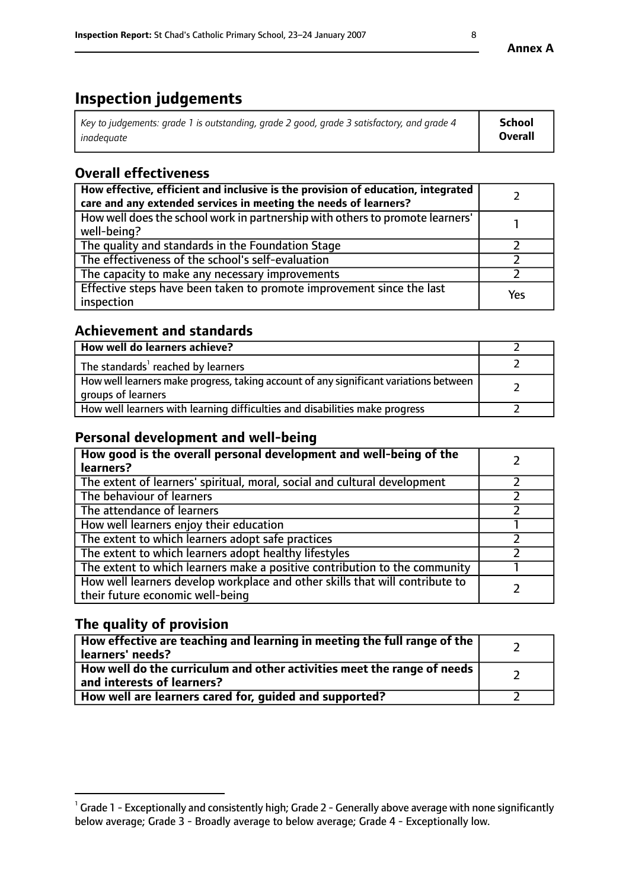# **Inspection judgements**

| Key to judgements: grade 1 is outstanding, grade 2 good, grade 3 satisfactory, and grade 4 | <b>School</b>  |
|--------------------------------------------------------------------------------------------|----------------|
| inadeauate                                                                                 | <b>Overall</b> |

# **Overall effectiveness**

| How effective, efficient and inclusive is the provision of education, integrated<br>care and any extended services in meeting the needs of learners? |     |
|------------------------------------------------------------------------------------------------------------------------------------------------------|-----|
| How well does the school work in partnership with others to promote learners'<br>well-being?                                                         |     |
| The quality and standards in the Foundation Stage                                                                                                    |     |
| The effectiveness of the school's self-evaluation                                                                                                    |     |
| The capacity to make any necessary improvements                                                                                                      |     |
| Effective steps have been taken to promote improvement since the last<br>inspection                                                                  | Yes |

## **Achievement and standards**

| How well do learners achieve?                                                                               |  |
|-------------------------------------------------------------------------------------------------------------|--|
| The standards <sup>1</sup> reached by learners                                                              |  |
| How well learners make progress, taking account of any significant variations between<br>groups of learners |  |
| How well learners with learning difficulties and disabilities make progress                                 |  |

## **Personal development and well-being**

| How good is the overall personal development and well-being of the<br>learners?                                  |  |
|------------------------------------------------------------------------------------------------------------------|--|
| The extent of learners' spiritual, moral, social and cultural development                                        |  |
| The behaviour of learners                                                                                        |  |
| The attendance of learners                                                                                       |  |
| How well learners enjoy their education                                                                          |  |
| The extent to which learners adopt safe practices                                                                |  |
| The extent to which learners adopt healthy lifestyles                                                            |  |
| The extent to which learners make a positive contribution to the community                                       |  |
| How well learners develop workplace and other skills that will contribute to<br>their future economic well-being |  |

## **The quality of provision**

| How effective are teaching and learning in meeting the full range of the<br>learners' needs?          |  |
|-------------------------------------------------------------------------------------------------------|--|
| How well do the curriculum and other activities meet the range of needs<br>and interests of learners? |  |
| How well are learners cared for, guided and supported?                                                |  |

 $^1$  Grade 1 - Exceptionally and consistently high; Grade 2 - Generally above average with none significantly below average; Grade 3 - Broadly average to below average; Grade 4 - Exceptionally low.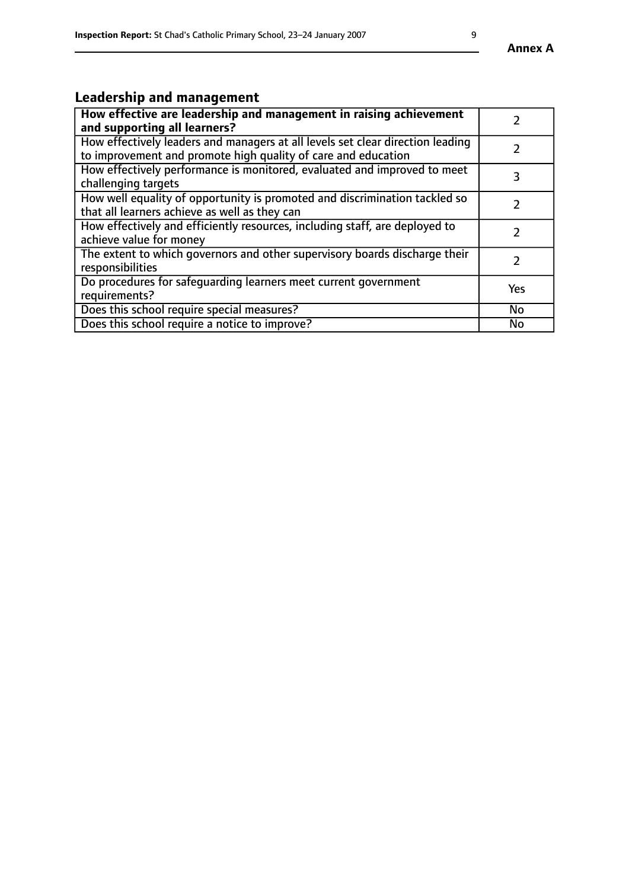# **Leadership and management**

| How effective are leadership and management in raising achievement<br>and supporting all learners?                                              |     |
|-------------------------------------------------------------------------------------------------------------------------------------------------|-----|
| How effectively leaders and managers at all levels set clear direction leading<br>to improvement and promote high quality of care and education |     |
| How effectively performance is monitored, evaluated and improved to meet<br>challenging targets                                                 | 3   |
| How well equality of opportunity is promoted and discrimination tackled so<br>that all learners achieve as well as they can                     |     |
| How effectively and efficiently resources, including staff, are deployed to<br>achieve value for money                                          | 7   |
| The extent to which governors and other supervisory boards discharge their<br>responsibilities                                                  |     |
| Do procedures for safequarding learners meet current government<br>requirements?                                                                | Yes |
| Does this school require special measures?                                                                                                      | No  |
| Does this school require a notice to improve?                                                                                                   | No  |